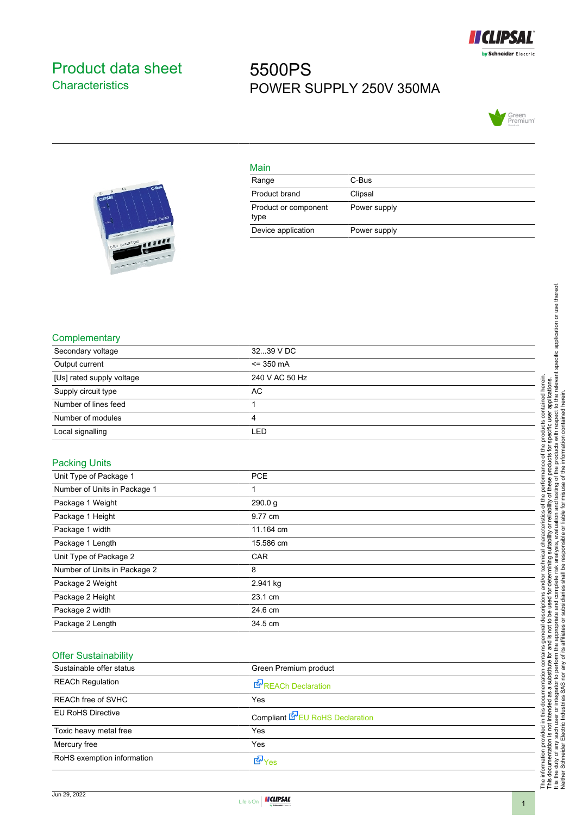

## <span id="page-0-0"></span>Product data sheet **Characteristics**

## 5500PS POWER SUPPLY 250V 350MA





| Main                         |              |
|------------------------------|--------------|
| Range                        | C-Bus        |
| Product brand                | Clipsal      |
| Product or component<br>type | Power supply |
| Device application           | Power supply |

## **Complementary**

| Secondary voltage            | 3239 V DC      |
|------------------------------|----------------|
| Output current               | $= 350$ mA     |
| [Us] rated supply voltage    | 240 V AC 50 Hz |
| Supply circuit type          | AC             |
| Number of lines feed         | 1              |
| Number of modules            | 4              |
| Local signalling             | LED            |
| <b>Packing Units</b>         |                |
| Unit Type of Package 1       | <b>PCE</b>     |
| Number of Units in Package 1 | 1              |
| Package 1 Weight             | 290.0g         |
| Package 1 Height             | 9.77 cm        |
| Package 1 width              | 11.164 cm      |
| Package 1 Length             | 15.586 cm      |
| Unit Type of Package 2       | CAR            |
| Number of Units in Package 2 | 8              |
| Package 2 Weight             | 2.941 kg       |
| Package 2 Height             | 23.1 cm        |
| Package 2 width              | 24.6 cm        |
| Package 2 Length             | 34.5 cm        |

## Offer Sustainability

| Sustainable offer status   | Green Premium product                  |  |
|----------------------------|----------------------------------------|--|
| <b>REACh Regulation</b>    | REACh Declaration                      |  |
| <b>REACh free of SVHC</b>  | Yes                                    |  |
| <b>EU RoHS Directive</b>   | Compliant <b>E</b> EU RoHS Declaration |  |
| Toxic heavy metal free     | Yes                                    |  |
| Mercury free               | Yes                                    |  |
| RoHS exemption information | t7a Yes                                |  |